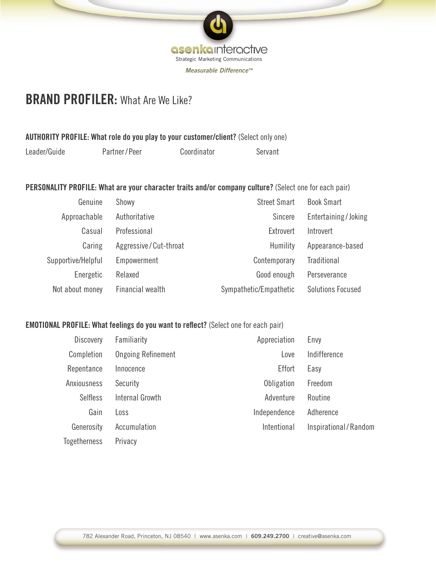

# **BRAND PROFILER:** What Are We Like?

### AUTHORITY PROFILE: What role do you play to your customer/client? (Select only one)

| Leader/Guide<br>Partner/Peer | Coordinator | Servant |
|------------------------------|-------------|---------|
|------------------------------|-------------|---------|

PERSONALITY PROFILE: What are your character traits and/or company culture? (Select one for each pair)

| Genuine            | Showy                 | <b>Street Smart</b>    | <b>Book Smart</b>        |
|--------------------|-----------------------|------------------------|--------------------------|
| Approachable       | Authoritative         | <b>Sincere</b>         | Entertaining/Joking      |
| Casual             | Professional          | Extrovert              | Introvert                |
| Caring             | Aggressive/Cut-throat | Humility               | Appearance-based         |
| Supportive/Helpful | Empowerment           | Contemporary           | <b>Traditional</b>       |
| Energetic          | Relaxed               | Good enough            | Perseverance             |
| Not about money    | Financial wealth      | Sympathetic/Empathetic | <b>Solutions Focused</b> |

### EMOTIONAL PROFILE: What feelings do you want to reflect? (Select one for each pair)

| <b>Discovery</b>    | Familiarity               | Appreciation | Envy                 |
|---------------------|---------------------------|--------------|----------------------|
| Completion          | <b>Ongoing Refinement</b> | Love         | Indifference         |
| Repentance          | Effort<br>Innocence       |              | Easy                 |
| Anxiousness         | Security                  | Obligation   | Freedom              |
| <b>Selfless</b>     | Internal Growth           | Adventure    | Routine              |
| Gain                | Loss                      | Independence | Adherence            |
| Generosity          | Accumulation              | Intentional  | Inspirational/Random |
| <b>Togetherness</b> | Privacy                   |              |                      |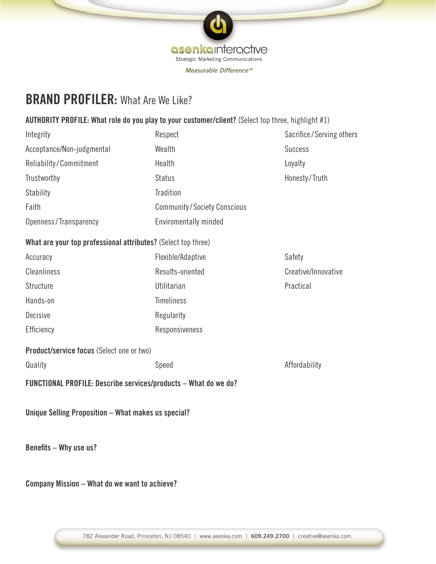

# **BRAND PROFILER:** What Are We Like?

### AUTHORITY PROFILE: What role do you play to your customer/client? (Select top three, highlight #1)

| Integrity                                                       | Respect                            | Sacrifice/Serving others |  |
|-----------------------------------------------------------------|------------------------------------|--------------------------|--|
| Acceptance/Non-judgmental                                       | Wealth                             | <b>Success</b>           |  |
| Reliability/Commitment                                          | Health                             | Loyalty                  |  |
| Trustworthy                                                     | <b>Status</b>                      | Honesty/Truth            |  |
| Stability                                                       | Tradition                          |                          |  |
| Faith                                                           | <b>Community/Society Conscious</b> |                          |  |
| Openness/Transparency                                           | Enviromentally minded              |                          |  |
| What are your top professional attributes? (Select top three)   |                                    |                          |  |
| Accuracy                                                        | Flexible/Adaptive                  | Safety                   |  |
| <b>Cleanliness</b>                                              | Results-oriented                   | Creative/Innovative      |  |
| Structure                                                       | Utilitarian                        | Practical                |  |
| Hands-on                                                        | <b>Timeliness</b>                  |                          |  |
| Decisive                                                        | Regularity                         |                          |  |
| Efficiency                                                      | Responsiveness                     |                          |  |
| Product/service focus (Select one or two)                       |                                    |                          |  |
| Quality                                                         | Speed                              | Affordability            |  |
| FUNCTIONAL PROFILE: Describe services/products - What do we do? |                                    |                          |  |
| Unique Selling Proposition - What makes us special?             |                                    |                          |  |

Benefits – Why use us?

Company Mission – What do we want to achieve?